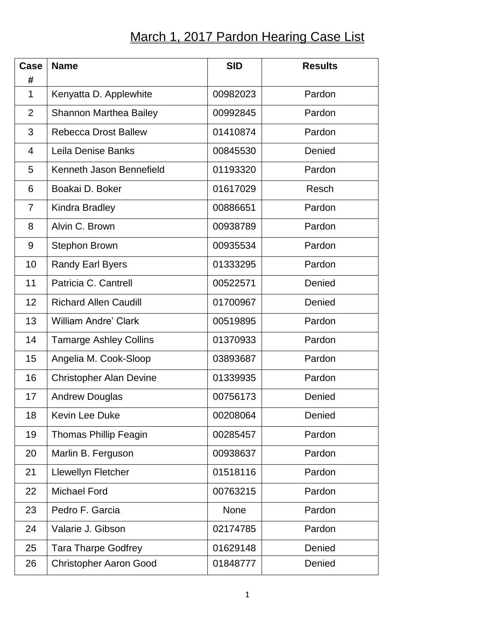## March 1, 2017 Pardon Hearing Case List

| Case<br>#      | <b>Name</b>                    | <b>SID</b> | <b>Results</b> |
|----------------|--------------------------------|------------|----------------|
| 1              | Kenyatta D. Applewhite         | 00982023   | Pardon         |
| $\overline{2}$ | <b>Shannon Marthea Bailey</b>  | 00992845   | Pardon         |
| 3              | <b>Rebecca Drost Ballew</b>    | 01410874   | Pardon         |
| 4              | Leila Denise Banks             | 00845530   | Denied         |
| 5              | Kenneth Jason Bennefield       | 01193320   | Pardon         |
| 6              | Boakai D. Boker                | 01617029   | Resch          |
| 7              | Kindra Bradley                 | 00886651   | Pardon         |
| 8              | Alvin C. Brown                 | 00938789   | Pardon         |
| 9              | <b>Stephon Brown</b>           | 00935534   | Pardon         |
| 10             | <b>Randy Earl Byers</b>        | 01333295   | Pardon         |
| 11             | Patricia C. Cantrell           | 00522571   | Denied         |
| 12             | <b>Richard Allen Caudill</b>   | 01700967   | Denied         |
| 13             | <b>William Andre' Clark</b>    | 00519895   | Pardon         |
| 14             | <b>Tamarge Ashley Collins</b>  | 01370933   | Pardon         |
| 15             | Angelia M. Cook-Sloop          | 03893687   | Pardon         |
| 16             | <b>Christopher Alan Devine</b> | 01339935   | Pardon         |
| 17             | <b>Andrew Douglas</b>          | 00756173   | Denied         |
| 18             | <b>Kevin Lee Duke</b>          | 00208064   | Denied         |
| 19             | <b>Thomas Phillip Feagin</b>   | 00285457   | Pardon         |
| 20             | Marlin B. Ferguson             | 00938637   | Pardon         |
| 21             | Llewellyn Fletcher             | 01518116   | Pardon         |
| 22             | <b>Michael Ford</b>            | 00763215   | Pardon         |
| 23             | Pedro F. Garcia                | None       | Pardon         |
| 24             | Valarie J. Gibson              | 02174785   | Pardon         |
| 25             | <b>Tara Tharpe Godfrey</b>     | 01629148   | Denied         |
| 26             | <b>Christopher Aaron Good</b>  | 01848777   | Denied         |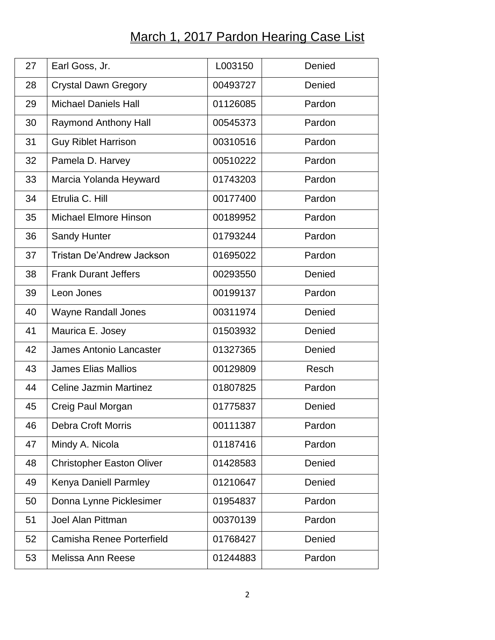## March 1, 2017 Pardon Hearing Case List

| 27 | Earl Goss, Jr.                   | L003150  | Denied |
|----|----------------------------------|----------|--------|
| 28 | <b>Crystal Dawn Gregory</b>      | 00493727 | Denied |
| 29 | <b>Michael Daniels Hall</b>      | 01126085 | Pardon |
| 30 | <b>Raymond Anthony Hall</b>      | 00545373 | Pardon |
| 31 | <b>Guy Riblet Harrison</b>       | 00310516 | Pardon |
| 32 | Pamela D. Harvey                 | 00510222 | Pardon |
| 33 | Marcia Yolanda Heyward           | 01743203 | Pardon |
| 34 | Etrulia C. Hill                  | 00177400 | Pardon |
| 35 | <b>Michael Elmore Hinson</b>     | 00189952 | Pardon |
| 36 | <b>Sandy Hunter</b>              | 01793244 | Pardon |
| 37 | <b>Tristan De'Andrew Jackson</b> | 01695022 | Pardon |
| 38 | <b>Frank Durant Jeffers</b>      | 00293550 | Denied |
| 39 | Leon Jones                       | 00199137 | Pardon |
| 40 | <b>Wayne Randall Jones</b>       | 00311974 | Denied |
| 41 | Maurica E. Josey                 | 01503932 | Denied |
| 42 | <b>James Antonio Lancaster</b>   | 01327365 | Denied |
| 43 | <b>James Elias Mallios</b>       | 00129809 | Resch  |
| 44 | <b>Celine Jazmin Martinez</b>    | 01807825 | Pardon |
| 45 | Creig Paul Morgan                | 01775837 | Denied |
| 46 | <b>Debra Croft Morris</b>        | 00111387 | Pardon |
| 47 | Mindy A. Nicola                  | 01187416 | Pardon |
| 48 | <b>Christopher Easton Oliver</b> | 01428583 | Denied |
| 49 | Kenya Daniell Parmley            | 01210647 | Denied |
| 50 | Donna Lynne Picklesimer          | 01954837 | Pardon |
| 51 | <b>Joel Alan Pittman</b>         | 00370139 | Pardon |
| 52 | Camisha Renee Porterfield        | 01768427 | Denied |
| 53 | Melissa Ann Reese                | 01244883 | Pardon |